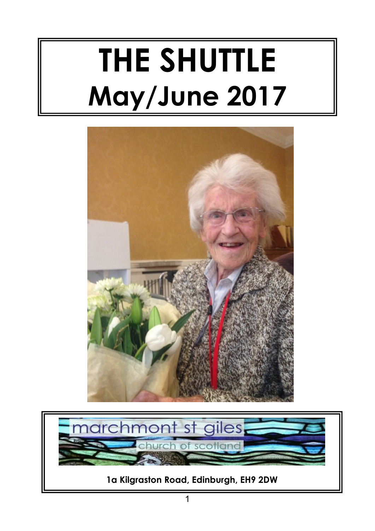# **THE SHUTTLE May/June 2017**



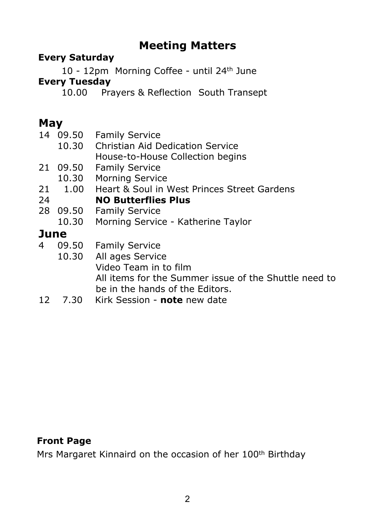#### **Meeting Matters**

#### **Every Saturday**

 10 - 12pm Morning Coffee - until 24th June **Every Tuesday**

10.00 Prayers & Reflection South Transept

#### **May**

|      | 14 09.50 | <b>Family Service</b>                                 |
|------|----------|-------------------------------------------------------|
|      | 10.30    | Christian Aid Dedication Service                      |
|      |          | House-to-House Collection begins                      |
|      | 21 09.50 | <b>Family Service</b>                                 |
|      | 10.30    | <b>Morning Service</b>                                |
|      | 21 1.00  | Heart & Soul in West Princes Street Gardens           |
| 24   |          | <b>NO Butterflies Plus</b>                            |
|      | 28 09.50 | <b>Family Service</b>                                 |
|      | 10.30    | Morning Service - Katherine Taylor                    |
| June |          |                                                       |
| 4    | 09.50    | <b>Family Service</b>                                 |
|      | 10.30    | All ages Service                                      |
|      |          | Video Team in to film                                 |
|      |          | All items for the Summer issue of the Shuttle need to |
|      |          | be in the hands of the Editors.                       |

12 7.30 Kirk Session - **note** new date

#### **Front Page**

Mrs Margaret Kinnaird on the occasion of her 100th Birthday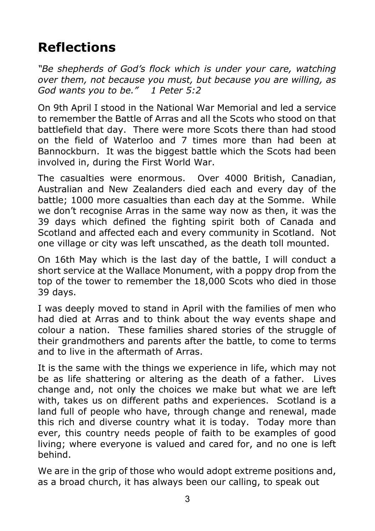# **Reflections**

*"Be shepherds of God's flock which is under your care, watching over them, not because you must, but because you are willing, as God wants you to be." 1 Peter 5:2*

On 9th April I stood in the National War Memorial and led a service to remember the Battle of Arras and all the Scots who stood on that battlefield that day. There were more Scots there than had stood on the field of Waterloo and 7 times more than had been at Bannockburn. It was the biggest battle which the Scots had been involved in, during the First World War.

The casualties were enormous. Over 4000 British, Canadian, Australian and New Zealanders died each and every day of the battle; 1000 more casualties than each day at the Somme. While we don't recognise Arras in the same way now as then, it was the 39 days which defined the fighting spirit both of Canada and Scotland and affected each and every community in Scotland. Not one village or city was left unscathed, as the death toll mounted.

On 16th May which is the last day of the battle, I will conduct a short service at the Wallace Monument, with a poppy drop from the top of the tower to remember the 18,000 Scots who died in those 39 days.

I was deeply moved to stand in April with the families of men who had died at Arras and to think about the way events shape and colour a nation. These families shared stories of the struggle of their grandmothers and parents after the battle, to come to terms and to live in the aftermath of Arras.

It is the same with the things we experience in life, which may not be as life shattering or altering as the death of a father. Lives change and, not only the choices we make but what we are left with, takes us on different paths and experiences. Scotland is a land full of people who have, through change and renewal, made this rich and diverse country what it is today. Today more than ever, this country needs people of faith to be examples of good living; where everyone is valued and cared for, and no one is left behind.

We are in the grip of those who would adopt extreme positions and, as a broad church, it has always been our calling, to speak out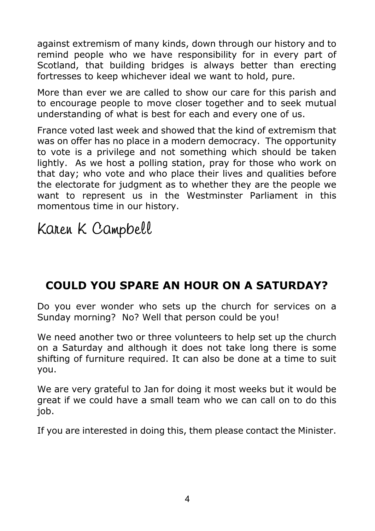against extremism of many kinds, down through our history and to remind people who we have responsibility for in every part of Scotland, that building bridges is always better than erecting fortresses to keep whichever ideal we want to hold, pure.

More than ever we are called to show our care for this parish and to encourage people to move closer together and to seek mutual understanding of what is best for each and every one of us.

France voted last week and showed that the kind of extremism that was on offer has no place in a modern democracy. The opportunity to vote is a privilege and not something which should be taken lightly. As we host a polling station, pray for those who work on that day; who vote and who place their lives and qualities before the electorate for judgment as to whether they are the people we want to represent us in the Westminster Parliament in this momentous time in our history.

Karen K Campbell

#### **COULD YOU SPARE AN HOUR ON A SATURDAY?**

Do you ever wonder who sets up the church for services on a Sunday morning? No? Well that person could be you!

We need another two or three volunteers to help set up the church on a Saturday and although it does not take long there is some shifting of furniture required. It can also be done at a time to suit you.

We are very grateful to Jan for doing it most weeks but it would be great if we could have a small team who we can call on to do this job.

If you are interested in doing this, them please contact the Minister.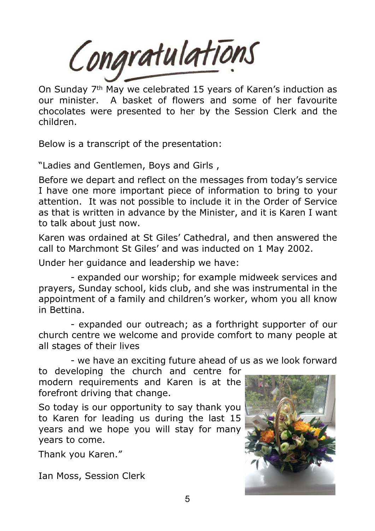Congratulations

On Sunday 7th May we celebrated 15 years of Karen's induction as our minister. A basket of flowers and some of her favourite chocolates were presented to her by the Session Clerk and the children.

Below is a transcript of the presentation:

"Ladies and Gentlemen, Boys and Girls ,

Before we depart and reflect on the messages from today's service I have one more important piece of information to bring to your attention. It was not possible to include it in the Order of Service as that is written in advance by the Minister, and it is Karen I want to talk about just now.

Karen was ordained at St Giles' Cathedral, and then answered the call to Marchmont St Giles' and was inducted on 1 May 2002.

Under her guidance and leadership we have:

- expanded our worship; for example midweek services and prayers, Sunday school, kids club, and she was instrumental in the appointment of a family and children's worker, whom you all know in Bettina.

- expanded our outreach; as a forthright supporter of our church centre we welcome and provide comfort to many people at all stages of their lives

- we have an exciting future ahead of us as we look forward

to developing the church and centre for modern requirements and Karen is at the forefront driving that change.

So today is our opportunity to say thank you to Karen for leading us during the last 15 years and we hope you will stay for many years to come.

Thank you Karen."

Ian Moss, Session Clerk

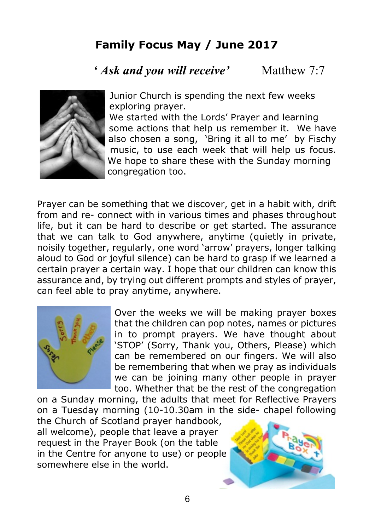#### **Family Focus May / June 2017**

*' Ask and you will receive'* Matthew 7:7



 Junior Church is spending the next few weeks exploring prayer.

 We started with the Lords' Prayer and learning some actions that help us remember it. We have also chosen a song, 'Bring it all to me' by Fischy music, to use each week that will help us focus. We hope to share these with the Sunday morning congregation too.

Prayer can be something that we discover, get in a habit with, drift from and re- connect with in various times and phases throughout life, but it can be hard to describe or get started. The assurance that we can talk to God anywhere, anytime (quietly in private, noisily together, regularly, one word 'arrow' prayers, longer talking aloud to God or joyful silence) can be hard to grasp if we learned a certain prayer a certain way. I hope that our children can know this assurance and, by trying out different prompts and styles of prayer, can feel able to pray anytime, anywhere.



Over the weeks we will be making prayer boxes that the children can pop notes, names or pictures in to prompt prayers. We have thought about 'STOP' (Sorry, Thank you, Others, Please) which can be remembered on our fingers. We will also be remembering that when we pray as individuals we can be joining many other people in prayer too. Whether that be the rest of the congregation

on a Sunday morning, the adults that meet for Reflective Prayers on a Tuesday morning (10-10.30am in the side- chapel following

the Church of Scotland prayer handbook, all welcome), people that leave a prayer request in the Prayer Book (on the table in the Centre for anyone to use) or people somewhere else in the world.

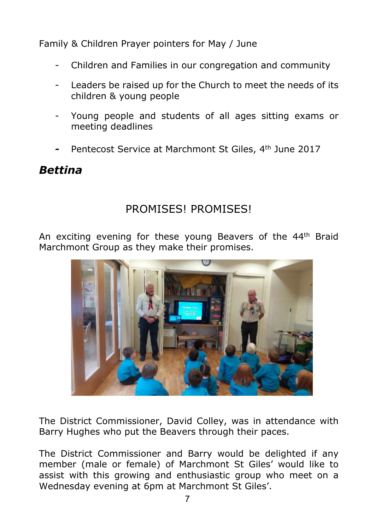Family & Children Prayer pointers for May / June

- Children and Families in our congregation and community
- Leaders be raised up for the Church to meet the needs of its children & young people
- Young people and students of all ages sitting exams or meeting deadlines
- *-* Pentecost Service at Marchmont St Giles, 4th June 2017

#### *Bettina*

#### PROMISES! PROMISES!

An exciting evening for these young Beavers of the 44<sup>th</sup> Braid Marchmont Group as they make their promises.



The District Commissioner, David Colley, was in attendance with Barry Hughes who put the Beavers through their paces.

The District Commissioner and Barry would be delighted if any member (male or female) of Marchmont St Giles' would like to assist with this growing and enthusiastic group who meet on a Wednesday evening at 6pm at Marchmont St Giles'.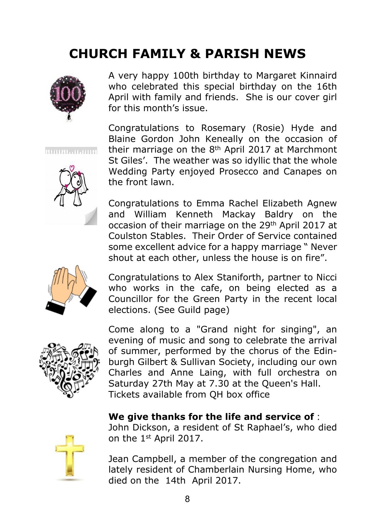### **CHURCH FAMILY & PARISH NEWS**



A very happy 100th birthday to Margaret Kinnaird who celebrated this special birthday on the 16th April with family and friends. She is our cover girl for this month's issue.

Congratulations to Rosemary (Rosie) Hyde and Blaine Gordon John Keneally on the occasion of their marriage on the 8th April 2017 at Marchmont St Giles'. The weather was so idyllic that the whole Wedding Party enjoyed Prosecco and Canapes on the front lawn.

Congratulations to Emma Rachel Elizabeth Agnew and William Kenneth Mackay Baldry on the occasion of their marriage on the 29th April 2017 at Coulston Stables. Their Order of Service contained some excellent advice for a happy marriage " Never shout at each other, unless the house is on fire".

Congratulations to Alex Staniforth, partner to Nicci who works in the cafe, on being elected as a Councillor for the Green Party in the recent local elections. (See Guild page)



Come along to a "Grand night for singing", an evening of music and song to celebrate the arrival of summer, performed by the chorus of the Edinburgh Gilbert & Sullivan Society, including our own Charles and Anne Laing, with full orchestra on Saturday 27th May at 7.30 at the Queen's Hall. Tickets available from QH box office

#### **We give thanks for the life and service of** :



John Dickson, a resident of St Raphael's, who died on the 1st April 2017.

Jean Campbell, a member of the congregation and lately resident of Chamberlain Nursing Home, who died on the 14th April 2017.

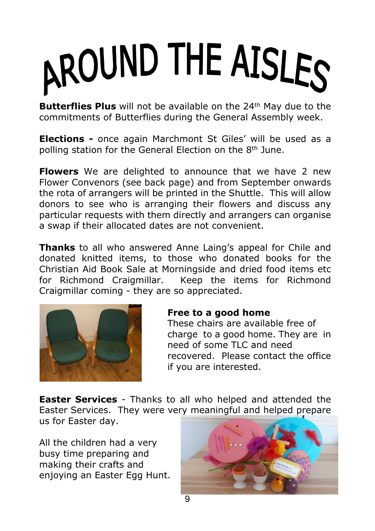# AROUND THE AISLES

**Butterflies Plus** will not be available on the 24<sup>th</sup> May due to the commitments of Butterflies during the General Assembly week.

**Elections -** once again Marchmont St Giles' will be used as a polling station for the General Election on the 8th June.

**Flowers** We are delighted to announce that we have 2 new Flower Convenors (see back page) and from September onwards the rota of arrangers will be printed in the Shuttle. This will allow donors to see who is arranging their flowers and discuss any particular requests with them directly and arrangers can organise a swap if their allocated dates are not convenient.

**Thanks** to all who answered Anne Laing's appeal for Chile and donated knitted items, to those who donated books for the Christian Aid Book Sale at Morningside and dried food items etc for Richmond Craigmillar. Keep the items for Richmond Craigmillar coming - they are so appreciated.



#### **Free to a good home**

 These chairs are available free of charge to a good home. They are in need of some TLC and need recovered. Please contact the office if you are interested.

**Easter Services** - Thanks to all who helped and attended the Easter Services. They were very meaningful and helped prepare us for Easter day.

All the children had a very busy time preparing and making their crafts and enjoying an Easter Egg Hunt.

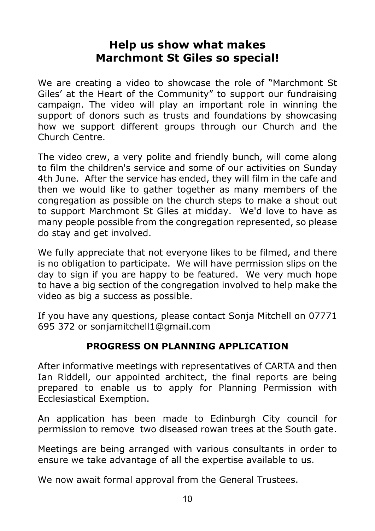#### **Help us show what makes Marchmont St Giles so special!**

We are creating a video to showcase the role of "Marchmont St Giles' at the Heart of the Community" to support our fundraising campaign. The video will play an important role in winning the support of donors such as trusts and foundations by showcasing how we support different groups through our Church and the Church Centre.

The video crew, a very polite and friendly bunch, will come along to film the children's service and some of our activities on Sunday 4th June. After the service has ended, they will film in the cafe and then we would like to gather together as many members of the congregation as possible on the church steps to make a shout out to support Marchmont St Giles at midday. We'd love to have as many people possible from the congregation represented, so please do stay and get involved.

We fully appreciate that not everyone likes to be filmed, and there is no obligation to participate. We will have permission slips on the day to sign if you are happy to be featured. We very much hope to have a big section of the congregation involved to help make the video as big a success as possible.

If you have any questions, please contact Sonja Mitchell on 07771 695 372 or sonjamitchell1@gmail.com

#### **PROGRESS ON PLANNING APPLICATION**

After informative meetings with representatives of CARTA and then Ian Riddell, our appointed architect, the final reports are being prepared to enable us to apply for Planning Permission with Ecclesiastical Exemption.

An application has been made to Edinburgh City council for permission to remove two diseased rowan trees at the South gate.

Meetings are being arranged with various consultants in order to ensure we take advantage of all the expertise available to us.

We now await formal approval from the General Trustees.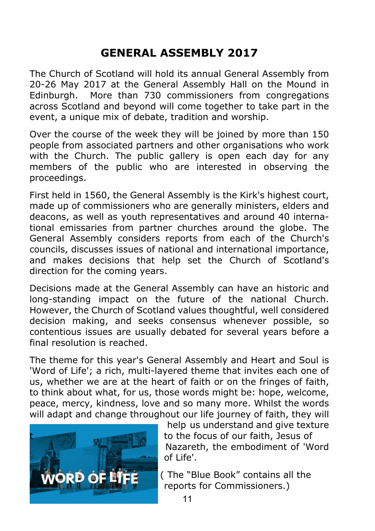#### **GENERAL ASSEMBLY 2017**

The Church of Scotland will hold its annual General Assembly from 20-26 May 2017 at the General Assembly Hall on the Mound in Edinburgh. More than 730 commissioners from congregations across Scotland and beyond will come together to take part in the event, a unique mix of debate, tradition and worship.

Over the course of the week they will be joined by more than 150 people from associated partners and other organisations who work with the Church. The public gallery is open each day for any members of the public who are interested in observing the proceedings.

First held in 1560, the General Assembly is the Kirk's highest court, made up of commissioners who are generally ministers, elders and deacons, as well as youth representatives and around 40 international emissaries from partner churches around the globe. The General Assembly considers reports from each of the Church's councils, discusses issues of national and international importance, and makes decisions that help set the Church of Scotland's direction for the coming years.

Decisions made at the General Assembly can have an historic and long-standing impact on the future of the national Church. However, the Church of Scotland values thoughtful, well considered decision making, and seeks consensus whenever possible, so contentious issues are usually debated for several years before a final resolution is reached.

The theme for this year's General Assembly and Heart and Soul is 'Word of Life'; a rich, multi-layered theme that invites each one of us, whether we are at the heart of faith or on the fringes of faith, to think about what, for us, those words might be: hope, welcome, peace, mercy, kindness, love and so many more. Whilst the words will adapt and change throughout our life journey of faith, they will



 help us understand and give texture to the focus of our faith, Jesus of Nazareth, the embodiment of 'Word of Life'.

 ( The "Blue Book" contains all the reports for Commissioners.)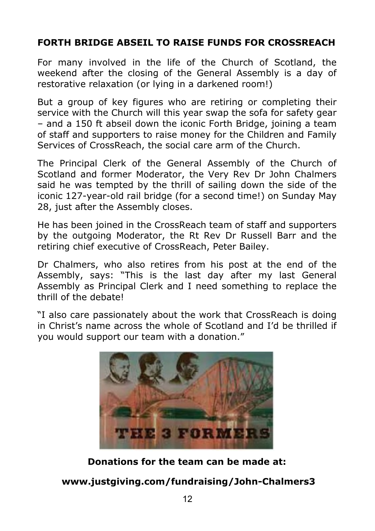#### **FORTH BRIDGE ABSEIL TO RAISE FUNDS FOR CROSSREACH**

For many involved in the life of the Church of Scotland, the weekend after the closing of the General Assembly is a day of restorative relaxation (or lying in a darkened room!)

But a group of key figures who are retiring or completing their service with the Church will this year swap the sofa for safety gear – and a 150 ft abseil down the iconic Forth Bridge, joining a team of staff and supporters to raise money for the Children and Family Services of CrossReach, the social care arm of the Church.

The Principal Clerk of the General Assembly of the Church of Scotland and former Moderator, the Very Rev Dr John Chalmers said he was tempted by the thrill of sailing down the side of the iconic 127-year-old rail bridge (for a second time!) on Sunday May 28, just after the Assembly closes.

He has been joined in the CrossReach team of staff and supporters by the outgoing Moderator, the Rt Rev Dr Russell Barr and the retiring chief executive of CrossReach, Peter Bailey.

Dr Chalmers, who also retires from his post at the end of the Assembly, says: "This is the last day after my last General Assembly as Principal Clerk and I need something to replace the thrill of the debate!

"I also care passionately about the work that CrossReach is doing in Christ's name across the whole of Scotland and I'd be thrilled if you would support our team with a donation."



#### **Donations for the team can be made at:**

 **www.justgiving.com/fundraising/John-Chalmers3**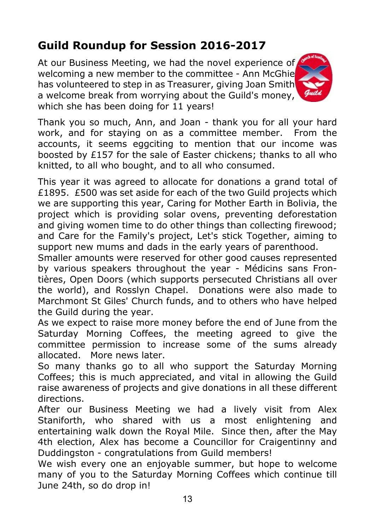#### **Guild Roundup for Session 2016-2017**

At our Business Meeting, we had the novel experience of welcoming a new member to the committee - Ann McGhie has volunteered to step in as Treasurer, giving Joan Smith a welcome break from worrying about the Guild's money, which she has been doing for 11 years!



Thank you so much, Ann, and Joan - thank you for all your hard work, and for staying on as a committee member. From the accounts, it seems eggciting to mention that our income was boosted by £157 for the sale of Easter chickens; thanks to all who knitted, to all who bought, and to all who consumed.

This year it was agreed to allocate for donations a grand total of £1895. £500 was set aside for each of the two Guild projects which we are supporting this year, Caring for Mother Earth in Bolivia, the project which is providing solar ovens, preventing deforestation and giving women time to do other things than collecting firewood; and Care for the Family's project, Let's stick Together, aiming to support new mums and dads in the early years of parenthood.

Smaller amounts were reserved for other good causes represented by various speakers throughout the year - Médicins sans Frontières, Open Doors (which supports persecuted Christians all over the world), and Rosslyn Chapel. Donations were also made to Marchmont St Giles' Church funds, and to others who have helped the Guild during the year.

As we expect to raise more money before the end of June from the Saturday Morning Coffees, the meeting agreed to give the committee permission to increase some of the sums already allocated. More news later.

So many thanks go to all who support the Saturday Morning Coffees; this is much appreciated, and vital in allowing the Guild raise awareness of projects and give donations in all these different directions.

After our Business Meeting we had a lively visit from Alex Staniforth, who shared with us a most enlightening and entertaining walk down the Royal Mile. Since then, after the May 4th election, Alex has become a Councillor for Craigentinny and Duddingston - congratulations from Guild members!

We wish every one an enjoyable summer, but hope to welcome many of you to the Saturday Morning Coffees which continue till June 24th, so do drop in!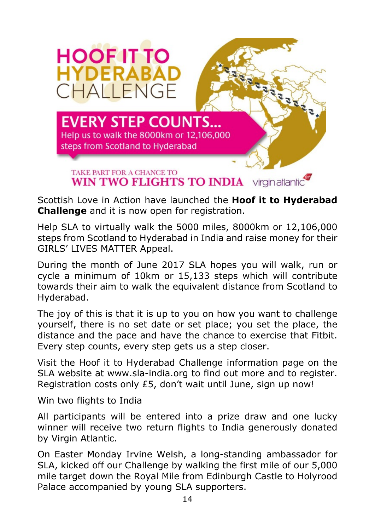

Scottish Love in Action have launched the **Hoof it to Hyderabad Challenge** and it is now open for registration.

Help SLA to virtually walk the 5000 miles, 8000km or 12,106,000 steps from Scotland to Hyderabad in India and raise money for their GIRLS' LIVES MATTER Appeal.

During the month of June 2017 SLA hopes you will walk, run or cycle a minimum of 10km or 15,133 steps which will contribute towards their aim to walk the equivalent distance from Scotland to Hyderabad.

The joy of this is that it is up to you on how you want to challenge yourself, there is no set date or set place; you set the place, the distance and the pace and have the chance to exercise that Fitbit. Every step counts, every step gets us a step closer.

Visit the Hoof it to Hyderabad Challenge information page on the SLA website at www.sla-india.org to find out more and to register. Registration costs only £5, don't wait until June, sign up now!

Win two flights to India

All participants will be entered into a prize draw and one lucky winner will receive two return flights to India generously donated by Virgin Atlantic.

On Easter Monday Irvine Welsh, a long-standing ambassador for SLA, kicked off our Challenge by walking the first mile of our 5,000 mile target down the Royal Mile from Edinburgh Castle to Holyrood Palace accompanied by young SLA supporters.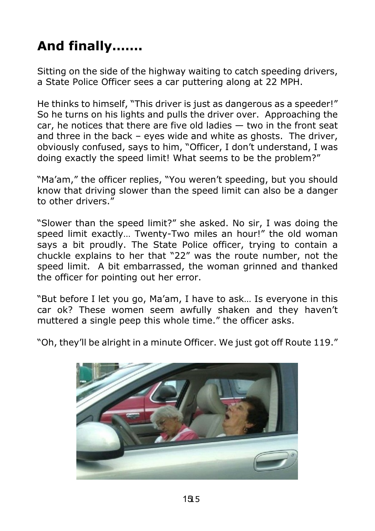# **And finally…….**

Sitting on the side of the highway waiting to catch speeding drivers, a State Police Officer sees a car puttering along at 22 MPH.

He thinks to himself, "This driver is just as dangerous as a speeder!" So he turns on his lights and pulls the driver over. Approaching the car, he notices that there are five old ladies — two in the front seat and three in the back – eyes wide and white as ghosts. The driver, obviously confused, says to him, "Officer, I don't understand, I was doing exactly the speed limit! What seems to be the problem?"

"Ma'am," the officer replies, "You weren't speeding, but you should know that driving slower than the speed limit can also be a danger to other drivers."

"Slower than the speed limit?" she asked. No sir, I was doing the speed limit exactly… Twenty-Two miles an hour!" the old woman says a bit proudly. The State Police officer, trying to contain a chuckle explains to her that "22" was the route number, not the speed limit. A bit embarrassed, the woman grinned and thanked the officer for pointing out her error.

"But before I let you go, Ma'am, I have to ask… Is everyone in this car ok? These women seem awfully shaken and they haven't muttered a single peep this whole time." the officer asks.

"Oh, they'll be alright in a minute Officer. We just got off Route 119."